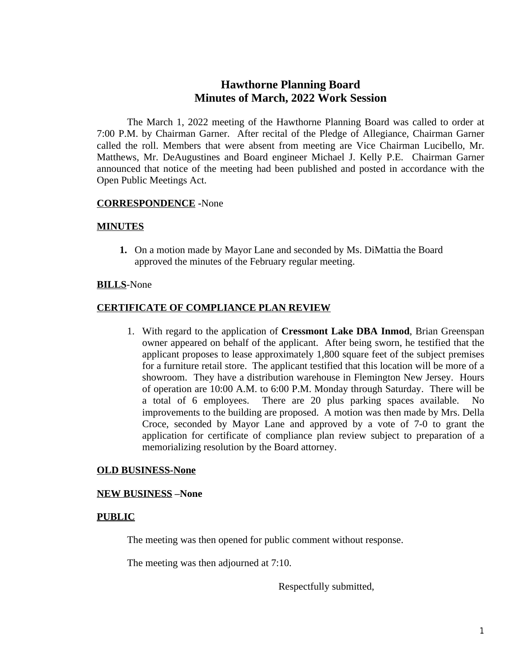# **Hawthorne Planning Board Minutes of March, 2022 Work Session**

The March 1, 2022 meeting of the Hawthorne Planning Board was called to order at 7:00 P.M. by Chairman Garner. After recital of the Pledge of Allegiance, Chairman Garner called the roll. Members that were absent from meeting are Vice Chairman Lucibello, Mr. Matthews, Mr. DeAugustines and Board engineer Michael J. Kelly P.E. Chairman Garner announced that notice of the meeting had been published and posted in accordance with the Open Public Meetings Act.

# **CORRESPONDENCE -**None

## **MINUTES**

**1.** On a motion made by Mayor Lane and seconded by Ms. DiMattia the Board approved the minutes of the February regular meeting.

## **BILLS**-None

## **CERTIFICATE OF COMPLIANCE PLAN REVIEW**

1. With regard to the application of **Cressmont Lake DBA Inmod**, Brian Greenspan owner appeared on behalf of the applicant. After being sworn, he testified that the applicant proposes to lease approximately 1,800 square feet of the subject premises for a furniture retail store. The applicant testified that this location will be more of a showroom. They have a distribution warehouse in Flemington New Jersey. Hours of operation are 10:00 A.M. to 6:00 P.M. Monday through Saturday. There will be a total of 6 employees. There are 20 plus parking spaces available. No improvements to the building are proposed. A motion was then made by Mrs. Della Croce, seconded by Mayor Lane and approved by a vote of 7-0 to grant the application for certificate of compliance plan review subject to preparation of a memorializing resolution by the Board attorney.

## **OLD BUSINESS-None**

#### **NEW BUSINESS –None**

#### **PUBLIC**

The meeting was then opened for public comment without response.

The meeting was then adjourned at 7:10.

Respectfully submitted,